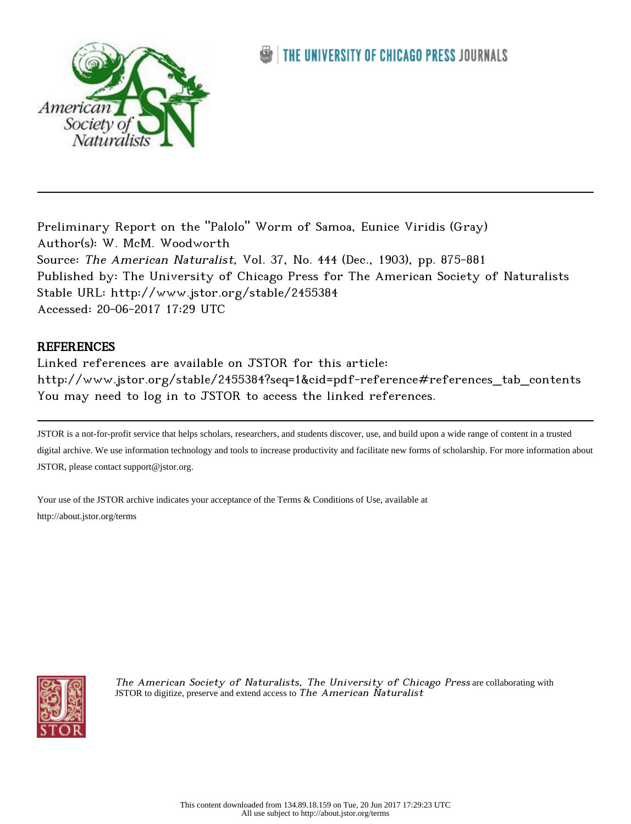

## THE UNIVERSITY OF CHICAGO PRESS JOURNALS

Preliminary Report on the "Palolo" Worm of Samoa, Eunice Viridis (Gray) Author(s): W. McM. Woodworth Source: The American Naturalist, Vol. 37, No. 444 (Dec., 1903), pp. 875-881 Published by: The University of Chicago Press for The American Society of Naturalists Stable URL: http://www.jstor.org/stable/2455384 Accessed: 20-06-2017 17:29 UTC

## **REFERENCES**

Linked references are available on JSTOR for this article: http://www.jstor.org/stable/2455384?seq=1&cid=pdf-reference#references\_tab\_contents You may need to log in to JSTOR to access the linked references.

JSTOR is a not-for-profit service that helps scholars, researchers, and students discover, use, and build upon a wide range of content in a trusted digital archive. We use information technology and tools to increase productivity and facilitate new forms of scholarship. For more information about JSTOR, please contact support@jstor.org.

Your use of the JSTOR archive indicates your acceptance of the Terms & Conditions of Use, available at http://about.jstor.org/terms



The American Society of Naturalists, The University of Chicago Press are collaborating with JSTOR to digitize, preserve and extend access to The American  $N$ aturalist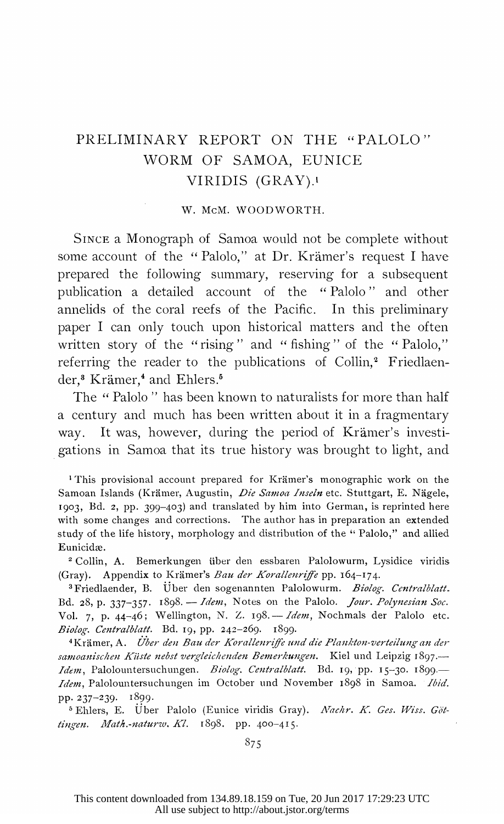## PRELIMINARY REPORT ON THE "PALOLO" WORM OF SAMOA, EUNICE VIRIDIS (GRAY).'

W. McM. WOODWORTH.

 SINCE a Monograph of Samoa would not be complete without some account of the "Palolo," at Dr. Krämer's request I have prepared the following summary, reserving for a subsequent publication a detailed account of the "Palolo " and other annelids of the coral reefs of the Pacific. In this preliminary paper I can only touch upon historical matters and the often written story of the "rising" and " fishing" of the " Palolo," referring the reader to the publications of Collin,<sup>2</sup> Friedlaender,<sup>8</sup> Krämer,<sup>4</sup> and Ehlers.<sup>5</sup>

The "Palolo" has been known to naturalists for more than half a century and much has been written about it in a fragmentary way. It was, however, during the period of Krämer's investigations in Samoa that its true history was brought to light, and

<sup>1</sup>This provisional account prepared for Krämer's monographic work on the Samoan Islands (Krämer, Augustin, Die Samoa Inseln etc. Stuttgart, E. Nägele, 1903, Bd. 2, pp. 399-403) and translated by him into German, is reprinted here with some changes and corrections. The author has in preparation an extended study of the life history, morphology and distribution of the " Palolo," and allied Eunicidæ.

 2 Collin, A. Bemerkungen uiber den essbaren Palolowurm, Lysidice viridis (Gray). Appendix to Krämer's Bau der Korallenriffe pp. 164-174.

<sup>3</sup>Friedlaender, B. Über den sogenannten Palolowurm. Biolog. Centralblatt. Bd. 28, p. 337-357. 1898. - Idem, Notes on the Palolo. Jour. Polynesian Soc. Vol. 7, p. 44-46; Wellington, N. Z. 198. - Idem, Nochmals der Palolo etc. Biolog. Centralblatt. Bd. I9, pp. 242-269. I899.

<sup>4</sup>Krämer, A. Über den Bau der Korallenriffe und die Plankton-verteilung an der samoanischen Küste nebst vergleichenden Bemerkungen. Kiel und Leipzig 1897.-Idem, Palolountersuchungen. Biolog. Centralblatt. Bd. 19, pp. 15-30. 1899.-Idem, Palolountersuchungen im October und November 1898 in Samoa. Ibid. pp. 237-239. I899.

<sup>5</sup> Ehlers, E. Über Palolo (Eunice viridis Gray). Nachr. K. Ges. Wiss. Göttingen. Math.-naturw. Kl. 1898. pp. 400-415.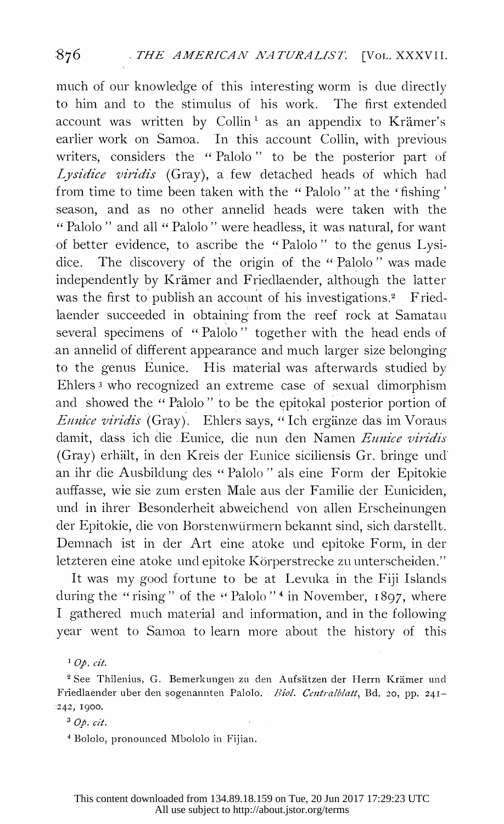much of our knowledge of this interesting worm is due directly to him and to the stimulus of his work. The first extended account was written by Collin<sup>1</sup> as an appendix to Krämer's earlier work on Samoa. In this account Collin, with previous writers, considers the " Palolo " to be the posterior part of Lysidice viridis (Gray), a few detached heads of which had from time to time been taken with the " Palolo " at the ' fishing' season, and as no other annelid heads were taken with the "Palolo " and all " Palolo " were headless, it was natural, for want of better evidence, to ascribe the "Palolo" to the genus Lysi dice. The discovery of the origin of the "Palolo" was made independently by Krämer and Friedlaender, although the latter was the first to publish an account of his investigations.<sup>2</sup> Fried laender succeeded in obtaining from the reef rock at Samatau several specimens of " Palolo " together with the head ends of an annelid of different appearance and much larger size belonging to the genus Eunice. His material was afterwards studied by Ehlers 3 who recognized an extreme case of sexual dimorphism and showed the " Palolo" to be the epitokal posterior portion of Eunice viridis (Gray). Ehlers says, "Ich ergänze das im Voraus damit, dass ich die Eunice, die nun den Namen Eunice viridis (Gray) erhält, in den Kreis der Eunice siciliensis Gr. bringe und an ihr die Ausbildung des " Palolo " als eine Form der Epitokie auffasse, wie sie zum ersten Male aus der Familie der Euniciden, und in ihrer Besonderheit abweichend von allen Erscheinungen der Epitokie, die von Borstenwürmern bekannt sind, sich darstellt. Demnach ist in der Art eine atoke und epitoke Form, in der letzteren eine atoke und epitoke Körperstrecke zu unterscheiden."

 It was my good fortune to be at Levuka in the Fiji Islands during the "rising" of the "Palolo"<sup>4</sup> in November, 1897, where I gathered much material and information, and in the following year went to Samoa to learn more about the history of this

 $1$  Op. cit.

<sup>2</sup> See Thilenius, G. Bemerkungen zu den Aufsätzen der Herrn Krämer und Friedlaender uber den sogenannten Palolo. Biol. Centralblatt, Bd. 20, pp. 241--242, I900.

 $3$  Op. cit.

4 Bololo, pronounced Mbololo in Fijian.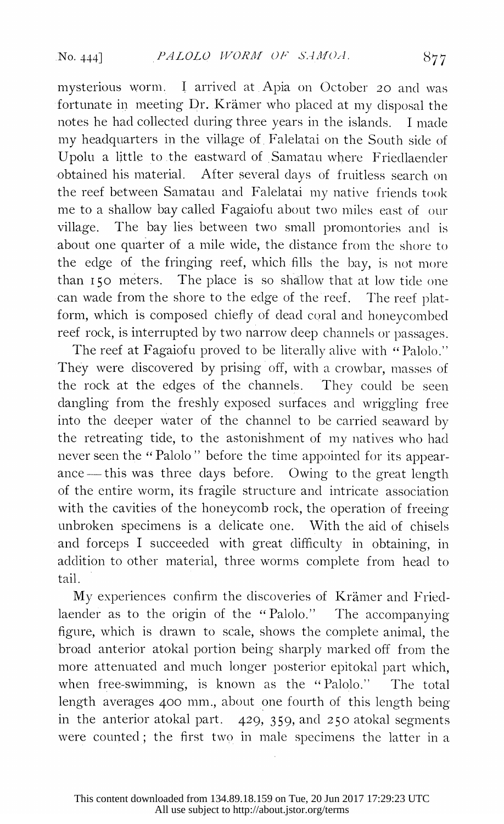mysterious worm. I arrived at Apia on October 20 and was fortunate in meeting Dr. Kramer who placed at my disposal the notes he had collected during three years in the islands. I made my headquarters in the village of Falelatai on the South side of Upolu a little to the eastward of Samatau where Friedlaender obtained his material. After several days of fruitless search on the reef between Samatau and Falelatai my native friends took me to a shallow bay called Fagaioftu about two miles east of our village. The bay lies between two small promontories and is about one quarter of a mile wide, the distance from the shore to the edge of the fringing reef, which fills the bay, is not more than i5o meters. The place is so shallow that at low tide one can wade from the shore to the edge of the reef. The reef plat form, which is composed chiefly of dead coral and honeycombed reef rock, is interrupted by two narrow deep channels or passages.

The reef at Fagaiofu proved to be literally alive with "Palolo." They were discovered by prising off, with a crowbar, masses of the rock at the edges of the channels. They could be seen dangling from the freshly exposed surfaces and wriggling free into the deeper water of the channel to be carried seaxvard by the retreating tide, to the astonishment of my natives who had never seen the " Palolo " before the time appointed for its appear ance - this was three days before. Owing to the great length of the entire worm, its fragile structure and intricate association with the cavities of the honeycomb rock, the operation of freeing unbroken specimens is a delicate one. With the aid of chisels .and forceps I succeeded with great difficulty in obtaining, in addition to other material, three worms complete from head to tail.

 My experiences confirm the discoveries of Kramer and Fried laender as to the origin of the "Palolo." The accompanying figure, which is drawn to scale, shows the complete animal, the broad anterior atokal portion being sharply marked off from the more attenuated and much longer posterior epitokal part which, when free-swimming, is known as the "Palolo." The total length averages 400 mm., about one fourth of this length being in the anterior atokal part. 429, 359, and 250 atokal segments were counted; the first two in male specimens the latter in a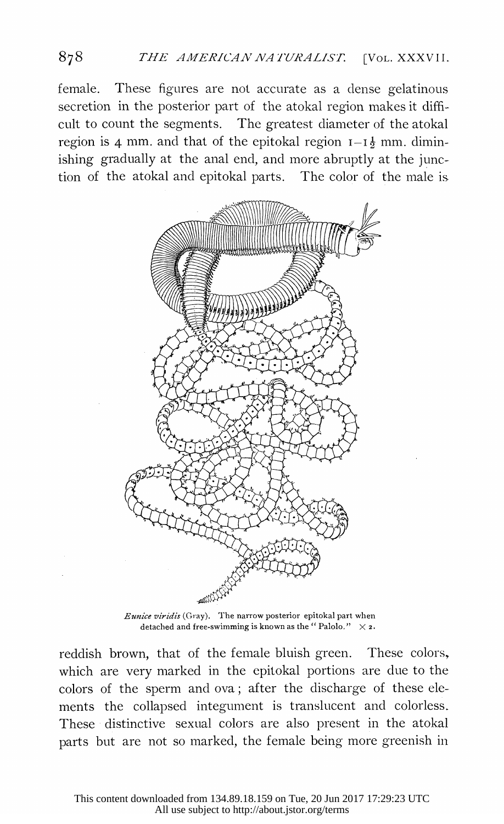female. These figures are not accurate as a dense gelatinous secretion in the posterior part of the atokal region makes it diffi cult to count the segments. The greatest diameter of the atokal region is 4 mm. and that of the epitokal region  $I-I<sub>2</sub>$  mm. dimin ishing gradually at the anal end, and more abruptly at the junc tion of the atokal and epitokal parts. The color of the male is



 Eunice viridis (Gray). The narrow posterior epitokal part when detached and free-swimming is known as the "Palolo."  $\times$  2.

 reddish brown, that of the female bluish green. These colors, which are very marked in the epitokal portions are due to the colors of the sperm and ova; after the discharge of these ele ments the collapsed integument is translucent and colorless. These distinctive sexual colors are also present in the atokal parts but are not so marked, the female being more greenish in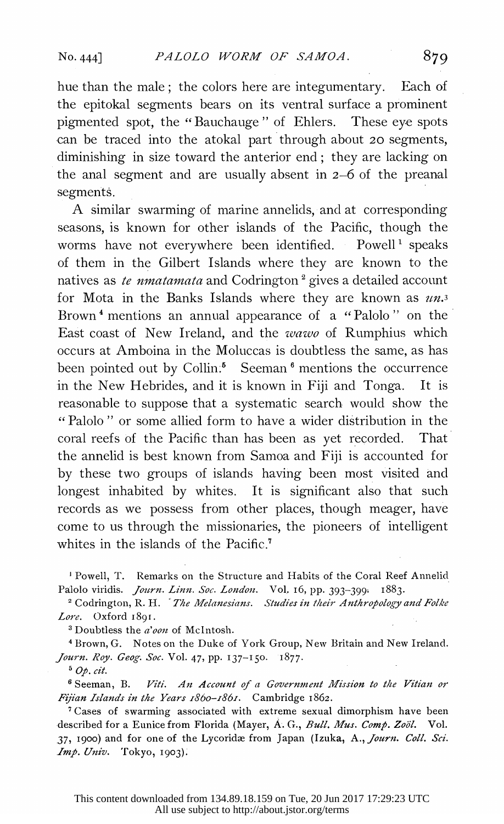hue than the male; the colors here are integumentary. Each of the epitokal segments bears on its ventral surface a prominent pigmented spot, the "Bauchauge " of Ehlers. These eye spots can be traced into the atokal part through about 20 segments, diminishing in size toward the anterior end; they are lacking on the anal segment and are usually absent in 2-6 of the preanal segments.

 A similar swarming of marine annelids, and at corresponding seasons, is known for other islands of the Pacific, though the worms have not everywhere been identified. Powell<sup>1</sup> speaks of them in the Gilbert Islands where they are known to the natives as te numatamata and Codrington<sup>2</sup> gives a detailed account for Mota in the Banks Islands where they are known as  $u_n$ . Brown<sup>4</sup> mentions an annual appearance of a "Palolo" on the East coast of New Ireland, and the *wawo* of Rumphius which occurs at Amboina in the Moluccas is doubtless the same, as has been pointed out by Collin.<sup>5</sup> Seeman<sup>6</sup> mentions the occurrence in the New Hebrides, and it is known in Fiji and Tonga. It is reasonable to suppose that a systematic search would show the " Palolo " or some allied form to have a wider distribution in the coral reefs of the Pacific than has been as yet recorded. That the annelid is best known from Samoa and Fiji is accounted for by these two groups of islands having been most visited and longest inhabited by whites. It is significant also that such records as we possess from other places, though meager, have come to us through the missionaries, the pioneers of intelligent whites in the islands of the Pacific.<sup>7</sup>

 'Powell, T. Remarks on the Structure and Habits of the Coral Reef Annelid Palolo viridis. Journ. Linn. Soc. London. Vol. 16, pp. 393-399: 1883.

<sup>2</sup> Codrington, R. H. The Melanesians. Studies in their Anthropology and Folke Lore. Oxford 1891.

<sup>3</sup> Doubtless the *a'oon* of McIntosh.

 4Brown, G. Notes on the Duke of York Group, New Britain and New Ireland. Journ. Roy. Geog. Soc. Vol. 47, pp. 137-150. 1877.

 $5$  Op. cit.

 6 Seeman, B. Viti. An Account of a Government Mission to the Vitian or Fijian Islands in the Years 1860-1861. Cambridge 1862.

 7Cases of swarming associated with extreme sexual dimorphism have been described for a Eunice from Florida (Mayer, A. G., Bull. Mus. Comp. Zoöl. Vol. 37, 1900) and for one of the Lycoridæ from Japan (Izuka, A., Journ. Coll. Sci. Imp. Univ. Tokyo, 1903).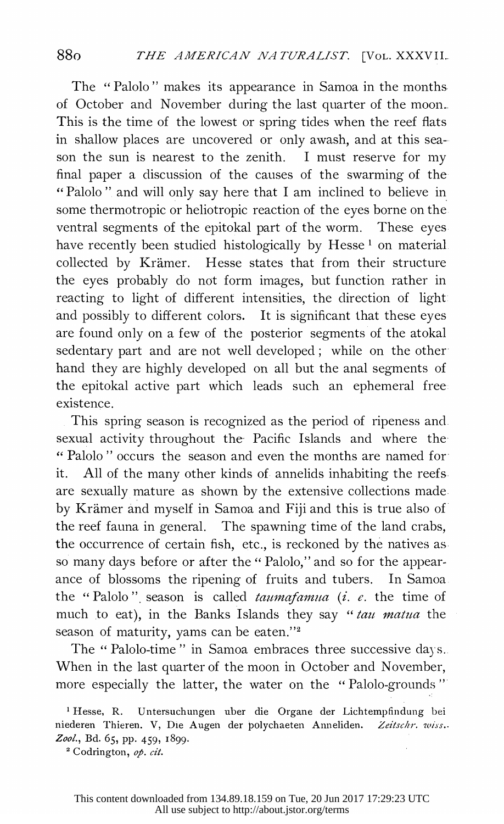The "Palolo" makes its appearance in Samoa in the months of October and November during the last quarter of the moon. This is the time of the lowest or spring tides when the reef flats in shallow places are uncovered or only awash, and at this sea- son the sun is nearest to the zenith. I must reserve for my final paper a discussion of the causes of the swarming of the "Palolo" and will only say here that I am inclined to believe in some thermotropic or heliotropic reaction of the eyes borne on the ventral segments of the epitokal part of the worm. These eyes have recently been studied histologically by Hesse<sup>1</sup> on material collected by Krämer. Hesse states that from their structure the eyes probably do not form images, but function rather in reacting to light of different intensities, the direction of light and possibly to different colors. It is significant that these eyes are found only on a few of the posterior segments of the atokal sedentary part and are not well developed; while on the other hand they are highly developed on all but the anal segments of the epitokal active part which leads such an ephemeral free existence.

 This spring season is recognized as the period of ripeness and sexual activity throughout the- Pacific Islands and where the " Palolo" occurs the season and even the months are named for it. All of the many other kinds of annelids inhabiting the reefs are sexually mature as shown by the extensive collections made. by Kramer and myself in Samoa and Fiji and this is true also of the reef fauna in general. The spawning time of the land crabs, the occurrence of certain fish, etc., is reckoned by the natives as so many days before or after the " Palolo," and so for the appear ance of blossoms the ripening of fruits and tubers. In Samoa the "Palolo" season is called  $t_{\alpha}$  taumafamua (i. e. the time of much to eat), in the Banks Islands they say " tau matua the season of maturity, yams can be eaten."2

The " Palolo-time " in Samoa embraces three successive days.. When in the last quarter of the moon in October and November, more especially the latter, the water on the "Palolo-grounds"

 <sup>1</sup> Hesse, R. Untersuchungen uber die Organe der Lichtempfindung bei niederen Thieren. V, Die Augen der polychaeten Anneliden. Zeitschr. wiss.. Zool., Bd. 65, pp. 459, 1899.

<sup>&</sup>lt;sup>2</sup> Codrington, op. cit.